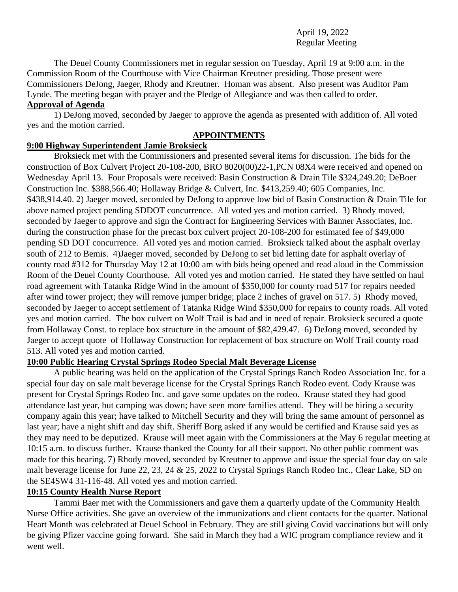April 19, 2022 Regular Meeting

The Deuel County Commissioners met in regular session on Tuesday, April 19 at 9:00 a.m. in the Commission Room of the Courthouse with Vice Chairman Kreutner presiding. Those present were Commissioners DeJong, Jaeger, Rhody and Kreutner. Homan was absent. Also present was Auditor Pam Lynde. The meeting began with prayer and the Pledge of Allegiance and was then called to order. **Approval of Agenda** 

1) DeJong moved, seconded by Jaeger to approve the agenda as presented with addition of. All voted yes and the motion carried.

# **APPOINTMENTS**

## **9:00 Highway Superintendent Jamie Broksieck**

Broksieck met with the Commissioners and presented several items for discussion. The bids for the construction of Box Culvert Project 20-108-200, BRO 8020(00)22-1,PCN 08X4 were received and opened on Wednesday April 13. Four Proposals were received: Basin Construction & Drain Tile \$324,249.20; DeBoer Construction Inc. \$388,566.40; Hollaway Bridge & Culvert, Inc. \$413,259.40; 605 Companies, Inc. \$438,914.40. 2) Jaeger moved, seconded by DeJong to approve low bid of Basin Construction & Drain Tile for above named project pending SDDOT concurrence. All voted yes and motion carried. 3) Rhody moved, seconded by Jaeger to approve and sign the Contract for Engineering Services with Banner Associates, Inc. during the construction phase for the precast box culvert project 20-108-200 for estimated fee of \$49,000 pending SD DOT concurrence. All voted yes and motion carried. Broksieck talked about the asphalt overlay south of 212 to Bemis. 4)Jaeger moved, seconded by DeJong to set bid letting date for asphalt overlay of county road #312 for Thursday May 12 at 10:00 am with bids being opened and read aloud in the Commission Room of the Deuel County Courthouse. All voted yes and motion carried. He stated they have settled on haul road agreement with Tatanka Ridge Wind in the amount of \$350,000 for county road 517 for repairs needed after wind tower project; they will remove jumper bridge; place 2 inches of gravel on 517. 5) Rhody moved, seconded by Jaeger to accept settlement of Tatanka Ridge Wind \$350,000 for repairs to county roads. All voted yes and motion carried. The box culvert on Wolf Trail is bad and in need of repair. Broksieck secured a quote from Hollaway Const. to replace box structure in the amount of \$82,429.47. 6) DeJong moved, seconded by Jaeger to accept quote of Hollaway Construction for replacement of box structure on Wolf Trail county road 513. All voted yes and motion carried.

## **10:00 Public Hearing Crystal Springs Rodeo Special Malt Beverage License**

A public hearing was held on the application of the Crystal Springs Ranch Rodeo Association Inc. for a special four day on sale malt beverage license for the Crystal Springs Ranch Rodeo event. Cody Krause was present for Crystal Springs Rodeo Inc. and gave some updates on the rodeo. Krause stated they had good attendance last year, but camping was down; have seen more families attend. They will be hiring a security company again this year; have talked to Mitchell Security and they will bring the same amount of personnel as last year; have a night shift and day shift. Sheriff Borg asked if any would be certified and Krause said yes as they may need to be deputized. Krause will meet again with the Commissioners at the May 6 regular meeting at 10:15 a.m. to discuss further. Krause thanked the County for all their support. No other public comment was made for this hearing. 7) Rhody moved, seconded by Kreutner to approve and issue the special four day on sale malt beverage license for June 22, 23, 24 & 25, 2022 to Crystal Springs Ranch Rodeo Inc., Clear Lake, SD on the SE4SW4 31-116-48. All voted yes and motion carried.

#### **10:15 County Health Nurse Report**

Tammi Baer met with the Commissioners and gave them a quarterly update of the Community Health Nurse Office activities. She gave an overview of the immunizations and client contacts for the quarter. National Heart Month was celebrated at Deuel School in February. They are still giving Covid vaccinations but will only be giving Pfizer vaccine going forward. She said in March they had a WIC program compliance review and it went well.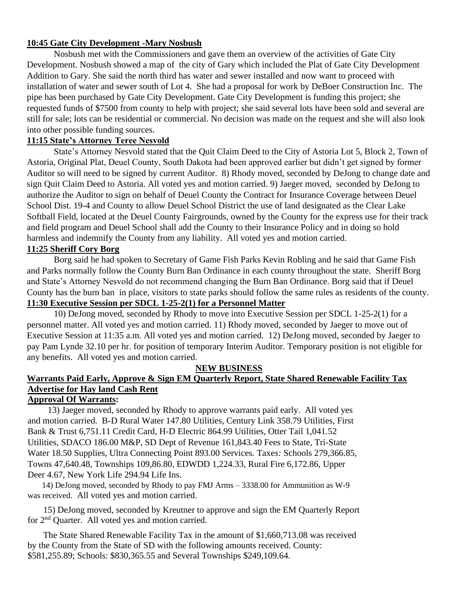## **10:45 Gate City Development -Mary Nosbush**

Nosbush met with the Commissioners and gave them an overview of the activities of Gate City Development. Nosbush showed a map of the city of Gary which included the Plat of Gate City Development Addition to Gary. She said the north third has water and sewer installed and now want to proceed with installation of water and sewer south of Lot 4. She had a proposal for work by DeBoer Construction Inc. The pipe has been purchased by Gate City Development. Gate City Development is funding this project; she requested funds of \$7500 from county to help with project; she said several lots have been sold and several are still for sale; lots can be residential or commercial. No decision was made on the request and she will also look into other possible funding sources.

## **11:15 State's Attorney Teree Nesvold**

State's Attorney Nesvold stated that the Quit Claim Deed to the City of Astoria Lot 5, Block 2, Town of Astoria, Original Plat, Deuel County, South Dakota had been approved earlier but didn't get signed by former Auditor so will need to be signed by current Auditor. 8) Rhody moved, seconded by DeJong to change date and sign Quit Claim Deed to Astoria. All voted yes and motion carried. 9) Jaeger moved, seconded by DeJong to authorize the Auditor to sign on behalf of Deuel County the Contract for Insurance Coverage between Deuel School Dist. 19-4 and County to allow Deuel School District the use of land designated as the Clear Lake Softball Field, located at the Deuel County Fairgrounds, owned by the County for the express use for their track and field program and Deuel School shall add the County to their Insurance Policy and in doing so hold harmless and indemnify the County from any liability. All voted yes and motion carried. **11:25 Sheriff Cory Borg**

Borg said he had spoken to Secretary of Game Fish Parks Kevin Robling and he said that Game Fish and Parks normally follow the County Burn Ban Ordinance in each county throughout the state. Sheriff Borg and State's Attorney Nesvold do not recommend changing the Burn Ban Ordinance. Borg said that if Deuel County has the burn ban in place, visitors to state parks should follow the same rules as residents of the county. **11:30 Executive Session per SDCL 1-25-2(1) for a Personnel Matter**

10) DeJong moved, seconded by Rhody to move into Executive Session per SDCL 1-25-2(1) for a personnel matter. All voted yes and motion carried. 11) Rhody moved, seconded by Jaeger to move out of Executive Session at 11:35 a.m. All voted yes and motion carried. 12) DeJong moved, seconded by Jaeger to pay Pam Lynde 32.10 per hr. for position of temporary Interim Auditor. Temporary position is not eligible for any benefits. All voted yes and motion carried.

#### **NEW BUSINESS**

# **Warrants Paid Early, Approve & Sign EM Quarterly Report, State Shared Renewable Facility Tax Advertise for Hay land Cash Rent**

# **Approval Of Warrants:**

 13) Jaeger moved, seconded by Rhody to approve warrants paid early. All voted yes and motion carried. B-D Rural Water 147.80 Utilities, Century Link 358.79 Utilities, First Bank & Trust 6,751.11 Credit Card, H-D Electric 864.99 Utilities, Otter Tail 1,041.52 Utilities, SDACO 186.00 M&P, SD Dept of Revenue 161,843.40 Fees to State, Tri-State Water 18.50 Supplies, Ultra Connecting Point 893.00 Services*.* Taxe*s:* Schools 279,366.85, Towns 47,640.48, Townships 109,86.80, EDWDD 1,224.33, Rural Fire 6,172.86, Upper Deer 4.67, New York Life 294.94 Life Ins.

 14) DeJong moved, seconded by Rhody to pay FMJ Arms – 3338.00 for Ammunition as W-9 was received. All voted yes and motion carried.

 15) DeJong moved, seconded by Kreutner to approve and sign the EM Quarterly Report for 2nd Quarter. All voted yes and motion carried.

 The State Shared Renewable Facility Tax in the amount of \$1,660,713.08 was received by the County from the State of SD with the following amounts received. County: \$581,255.89; Schools: \$830,365.55 and Several Townships \$249,109.64.